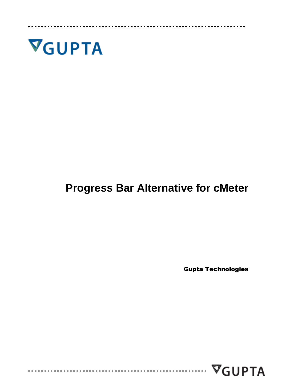

# **Progress Bar Alternative for cMeter**

Gupta Technologies

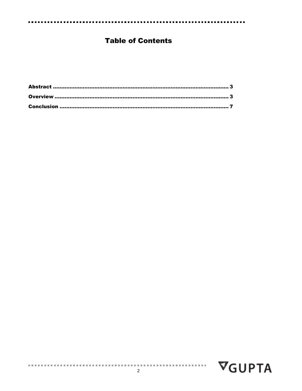### **Table of Contents**

# VGUPTA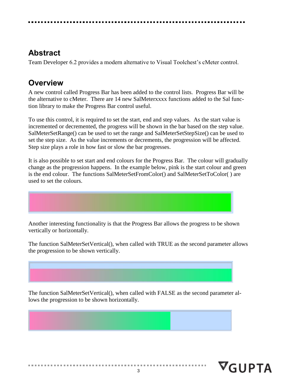# <span id="page-2-0"></span>**Abstract**

Team Developer 6.2 provides a modern alternative to Visual Toolchest's cMeter control.

## <span id="page-2-1"></span>**Overview**

A new control called Progress Bar has been added to the control lists. Progress Bar will be the alternative to cMeter. There are 14 new SalMeterxxxx functions added to the Sal function library to make the Progress Bar control useful.

To use this control, it is required to set the start, end and step values. As the start value is incremented or decremented, the progress will be shown in the bar based on the step value. SalMeterSetRange() can be used to set the range and SalMeterSetStepSize() can be used to set the step size. As the value increments or decrements, the progression will be affected. Step size plays a role in how fast or slow the bar progresses.

It is also possible to set start and end colours for the Progress Bar. The colour will gradually change as the progression happens. In the example below, pink is the start colour and green is the end colour. The functions SalMeterSetFromColor() and SalMeterSetToColor( ) are used to set the colours.

Another interesting functionality is that the Progress Bar allows the progress to be shown vertically or horizontally.

The function SalMeterSetVertical(), when called with TRUE as the second parameter allows the progression to be shown vertically.

The function SalMeterSetVertical(), when called with FALSE as the second parameter allows the progression to be shown horizontally.



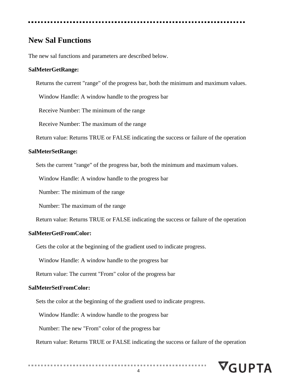### **New Sal Functions**

The new sal functions and parameters are described below.

#### **SalMeterGetRange:**

Returns the current "range" of the progress bar, both the minimum and maximum values.

Window Handle: A window handle to the progress bar

Receive Number: The minimum of the range

Receive Number: The maximum of the range

Return value: Returns TRUE or FALSE indicating the success or failure of the operation

#### **SalMeterSetRange:**

Sets the current "range" of the progress bar, both the minimum and maximum values.

Window Handle: A window handle to the progress bar

Number: The minimum of the range

Number: The maximum of the range

Return value: Returns TRUE or FALSE indicating the success or failure of the operation

#### **SalMeterGetFromColor:**

Gets the color at the beginning of the gradient used to indicate progress.

Window Handle: A window handle to the progress bar

Return value: The current "From" color of the progress bar

#### **SalMeterSetFromColor:**

Sets the color at the beginning of the gradient used to indicate progress.

Window Handle: A window handle to the progress bar

Number: The new "From" color of the progress bar

Return value: Returns TRUE or FALSE indicating the success or failure of the operation

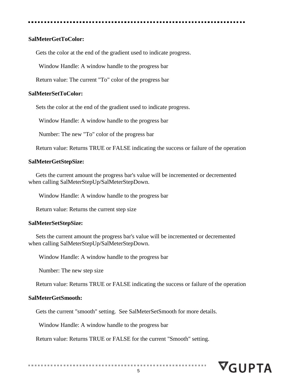### **SalMeterGetToColor:**

Gets the color at the end of the gradient used to indicate progress.

Window Handle: A window handle to the progress bar

Return value: The current "To" color of the progress bar

#### **SalMeterSetToColor:**

Sets the color at the end of the gradient used to indicate progress.

Window Handle: A window handle to the progress bar

Number: The new "To" color of the progress bar

Return value: Returns TRUE or FALSE indicating the success or failure of the operation

### **SalMeterGetStepSize:**

 Gets the current amount the progress bar's value will be incremented or decremented when calling SalMeterStepUp/SalMeterStepDown.

Window Handle: A window handle to the progress bar

Return value: Returns the current step size

#### **SalMeterSetStepSize:**

 Sets the current amount the progress bar's value will be incremented or decremented when calling SalMeterStepUp/SalMeterStepDown.

Window Handle: A window handle to the progress bar

Number: The new step size

Return value: Returns TRUE or FALSE indicating the success or failure of the operation

#### **SalMeterGetSmooth:**

Gets the current "smooth" setting. See SalMeterSetSmooth for more details.

Window Handle: A window handle to the progress bar

Return value: Returns TRUE or FALSE for the current "Smooth" setting.

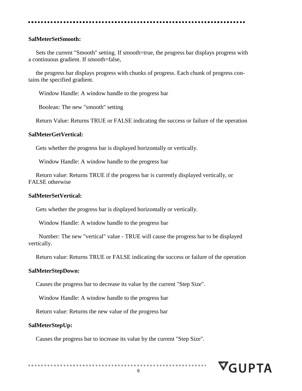#### **SalMeterSetSmooth:**

 Sets the current "Smooth" setting. If smooth=true, the progress bar displays progress with a continuous gradient. If smooth=false,

 the progress bar displays progress with chunks of progress. Each chunk of progress contains the specified gradient.

Window Handle: A window handle to the progress bar

Boolean: The new "smooth" setting

Return Value: Returns TRUE or FALSE indicating the success or failure of the operation

#### **SalMeterGetVertical:**

Gets whether the progress bar is displayed horizontally or vertically.

Window Handle: A window handle to the progress bar

 Return value: Returns TRUE if the progress bar is currently displayed vertically, or FALSE otherwise

#### **SalMeterSetVertical:**

Gets whether the progress bar is displayed horizontally or vertically.

Window Handle: A window handle to the progress bar

 Number: The new "vertical" value - TRUE will cause the progress bar to be displayed vertically.

Return value: Returns TRUE or FALSE indicating the success or failure of the operation

#### **SalMeterStepDown:**

Causes the progress bar to decrease its value by the current "Step Size".

Window Handle: A window handle to the progress bar

Return value: Returns the new value of the progress bar

#### **SalMeterStepUp:**

Causes the progress bar to increase its value by the current "Step Size".

# ∇GUPTA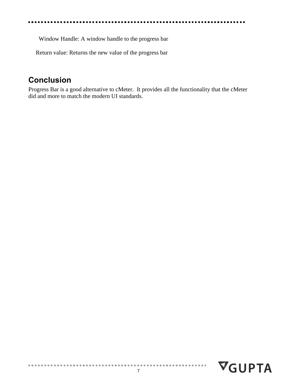Window Handle: A window handle to the progress bar

Return value: Returns the new value of the progress bar

## <span id="page-6-0"></span>**Conclusion**

Progress Bar is a good alternative to cMeter. It provides all the functionality that the cMeter did and more to match the modern UI standards.

 $\alpha$  is a set of  $\alpha$ 

 $\label{eq:3.1} \mathbf{u}^{\top} \mathbf{u}^{\top} = \mathbf{u}^{\top} \mathbf{u}^{\top} \mathbf{u}^{\top} = \mathbf{u}^{\top} \mathbf{u}^{\top} \mathbf{u}^{\top} = \mathbf{u}^{\top} \mathbf{u}^{\top}$